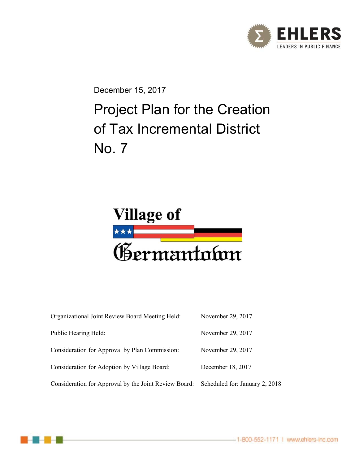

December 15, 2017

# Project Plan for the Creation of Tax Incremental District No. 7



| Organizational Joint Review Board Meeting Held:       | November 29, 2017              |
|-------------------------------------------------------|--------------------------------|
| Public Hearing Held:                                  | November 29, 2017              |
| Consideration for Approval by Plan Commission:        | November 29, 2017              |
| Consideration for Adoption by Village Board:          | December 18, 2017              |
| Consideration for Approval by the Joint Review Board: | Scheduled for: January 2, 2018 |

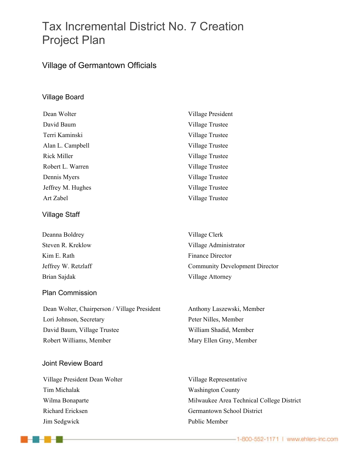# Tax Incremental District No. 7 Creation Project Plan

### Village of Germantown Officials

#### Village Board

| Dean Wolter        | Village President |
|--------------------|-------------------|
| David Baum         | Village Trustee   |
| Terri Kaminski     | Village Trustee   |
| Alan L. Campbell   | Village Trustee   |
| <b>Rick Miller</b> | Village Trustee   |
| Robert L. Warren   | Village Trustee   |
| Dennis Myers       | Village Trustee   |
| Jeffrey M. Hughes  | Village Trustee   |
| Art Zabel          | Village Trustee   |
|                    |                   |

#### Village Staff

Deanna Boldrey Nillage Clerk Kim E. Rath Finance Director Brian Sajdak Village Attorney

#### Plan Commission

Dean Wolter, Chairperson / Village President Anthony Laszewski, Member Lori Johnson, Secretary Peter Nilles, Member David Baum, Village Trustee William Shadid, Member Robert Williams, Member Mary Ellen Gray, Member

#### Joint Review Board

---

Village President Dean Wolter Village Representative Tim Michalak Washington County Richard Ericksen Germantown School District Jim Sedgwick Public Member

Steven R. Kreklow Village Administrator Jeffrey W. Retzlaff Community Development Director

Wilma Bonaparte **Milwaukee Area Technical College District**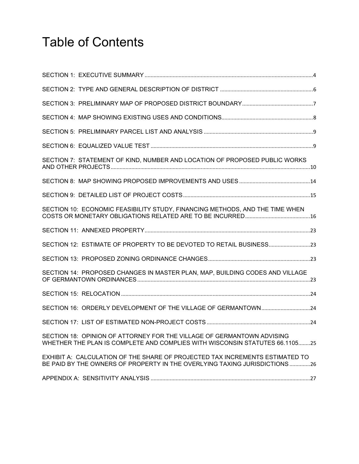# Table of Contents

| SECTION 7: STATEMENT OF KIND, NUMBER AND LOCATION OF PROPOSED PUBLIC WORKS                                                                                 |
|------------------------------------------------------------------------------------------------------------------------------------------------------------|
|                                                                                                                                                            |
|                                                                                                                                                            |
| SECTION 10: ECONOMIC FEASIBILITY STUDY, FINANCING METHODS, AND THE TIME WHEN                                                                               |
|                                                                                                                                                            |
| SECTION 12: ESTIMATE OF PROPERTY TO BE DEVOTED TO RETAIL BUSINESS23                                                                                        |
|                                                                                                                                                            |
| SECTION 14: PROPOSED CHANGES IN MASTER PLAN, MAP, BUILDING CODES AND VILLAGE                                                                               |
|                                                                                                                                                            |
| SECTION 16: ORDERLY DEVELOPMENT OF THE VILLAGE OF GERMANTOWN24                                                                                             |
|                                                                                                                                                            |
| SECTION 18: OPINION OF ATTORNEY FOR THE VILLAGE OF GERMANTOWN ADVISING<br>WHETHER THE PLAN IS COMPLETE AND COMPLIES WITH WISCONSIN STATUTES 66.110525      |
| EXHIBIT A: CALCULATION OF THE SHARE OF PROJECTED TAX INCREMENTS ESTIMATED TO<br>BE PAID BY THE OWNERS OF PROPERTY IN THE OVERLYING TAXING JURISDICTIONS 26 |
|                                                                                                                                                            |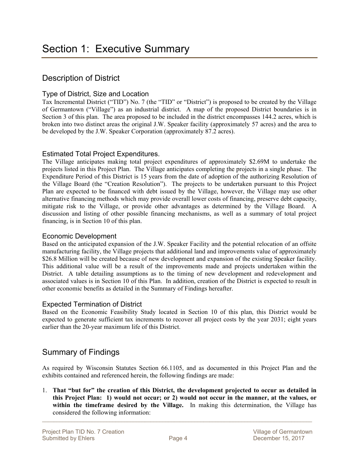### Description of District

#### Type of District, Size and Location

Tax Incremental District ("TID") No. 7 (the "TID" or "District") is proposed to be created by the Village of Germantown ("Village") as an industrial district. A map of the proposed District boundaries is in Section 3 of this plan. The area proposed to be included in the district encompasses 144.2 acres, which is broken into two distinct areas the original J.W. Speaker facility (approximately 57 acres) and the area to be developed by the J.W. Speaker Corporation (approximately 87.2 acres).

#### Estimated Total Project Expenditures.

The Village anticipates making total project expenditures of approximately \$2.69M to undertake the projects listed in this Project Plan. The Village anticipates completing the projects in a single phase. The Expenditure Period of this District is 15 years from the date of adoption of the authorizing Resolution of the Village Board (the "Creation Resolution"). The projects to be undertaken pursuant to this Project Plan are expected to be financed with debt issued by the Village, however, the Village may use other alternative financing methods which may provide overall lower costs of financing, preserve debt capacity, mitigate risk to the Village, or provide other advantages as determined by the Village Board. A discussion and listing of other possible financing mechanisms, as well as a summary of total project financing, is in Section 10 of this plan.

#### Economic Development

Based on the anticipated expansion of the J.W. Speaker Facility and the potential relocation of an offsite manufacturing facility, the Village projects that additional land and improvements value of approximately \$26.8 Million will be created because of new development and expansion of the existing Speaker facility. This additional value will be a result of the improvements made and projects undertaken within the District. A table detailing assumptions as to the timing of new development and redevelopment and associated values is in Section 10 of this Plan. In addition, creation of the District is expected to result in other economic benefits as detailed in the Summary of Findings hereafter.

#### Expected Termination of District

Based on the Economic Feasibility Study located in Section 10 of this plan, this District would be expected to generate sufficient tax increments to recover all project costs by the year 2031; eight years earlier than the 20-year maximum life of this District.

### Summary of Findings

As required by Wisconsin Statutes Section 66.1105, and as documented in this Project Plan and the exhibits contained and referenced herein, the following findings are made:

1. **That "but for" the creation of this District, the development projected to occur as detailed in this Project Plan: 1) would not occur; or 2) would not occur in the manner, at the values, or within the timeframe desired by the Village.** In making this determination, the Village has considered the following information: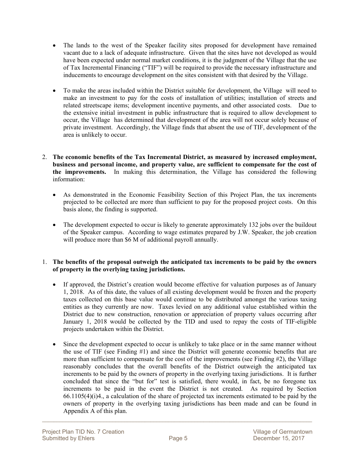- The lands to the west of the Speaker facility sites proposed for development have remained vacant due to a lack of adequate infrastructure. Given that the sites have not developed as would have been expected under normal market conditions, it is the judgment of the Village that the use of Tax Incremental Financing ("TIF") will be required to provide the necessary infrastructure and inducements to encourage development on the sites consistent with that desired by the Village.
- To make the areas included within the District suitable for development, the Village will need to make an investment to pay for the costs of installation of utilities; installation of streets and related streetscape items; development incentive payments, and other associated costs. Due to the extensive initial investment in public infrastructure that is required to allow development to occur, the Village has determined that development of the area will not occur solely because of private investment. Accordingly, the Village finds that absent the use of TIF, development of the area is unlikely to occur.
- 2. **The economic benefits of the Tax Incremental District, as measured by increased employment, business and personal income, and property value, are sufficient to compensate for the cost of the improvements.** In making this determination, the Village has considered the following information:
	- As demonstrated in the Economic Feasibility Section of this Project Plan, the tax increments projected to be collected are more than sufficient to pay for the proposed project costs. On this basis alone, the finding is supported.
	- The development expected to occur is likely to generate approximately 132 jobs over the buildout of the Speaker campus. According to wage estimates prepared by J.W. Speaker, the job creation will produce more than \$6 M of additional payroll annually.

#### 1. **The benefits of the proposal outweigh the anticipated tax increments to be paid by the owners of property in the overlying taxing jurisdictions.**

- If approved, the District's creation would become effective for valuation purposes as of January 1, 2018. As of this date, the values of all existing development would be frozen and the property taxes collected on this base value would continue to be distributed amongst the various taxing entities as they currently are now. Taxes levied on any additional value established within the District due to new construction, renovation or appreciation of property values occurring after January 1, 2018 would be collected by the TID and used to repay the costs of TIF-eligible projects undertaken within the District.
- Since the development expected to occur is unlikely to take place or in the same manner without the use of TIF (see Finding #1) and since the District will generate economic benefits that are more than sufficient to compensate for the cost of the improvements (see Finding #2), the Village reasonably concludes that the overall benefits of the District outweigh the anticipated tax increments to be paid by the owners of property in the overlying taxing jurisdictions. It is further concluded that since the "but for" test is satisfied, there would, in fact, be no foregone tax increments to be paid in the event the District is not created. As required by Section 66.1105(4)(i)4., a calculation of the share of projected tax increments estimated to be paid by the owners of property in the overlying taxing jurisdictions has been made and can be found in Appendix A of this plan.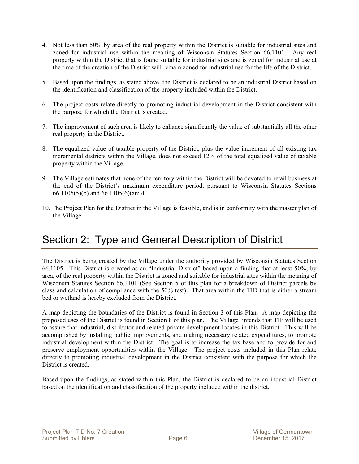- 4. Not less than 50% by area of the real property within the District is suitable for industrial sites and zoned for industrial use within the meaning of Wisconsin Statutes Section 66.1101. Any real property within the District that is found suitable for industrial sites and is zoned for industrial use at the time of the creation of the District will remain zoned for industrial use for the life of the District.
- 5. Based upon the findings, as stated above, the District is declared to be an industrial District based on the identification and classification of the property included within the District.
- 6. The project costs relate directly to promoting industrial development in the District consistent with the purpose for which the District is created.
- 7. The improvement of such area is likely to enhance significantly the value of substantially all the other real property in the District.
- 8. The equalized value of taxable property of the District, plus the value increment of all existing tax incremental districts within the Village, does not exceed 12% of the total equalized value of taxable property within the Village.
- 9. The Village estimates that none of the territory within the District will be devoted to retail business at the end of the District's maximum expenditure period, pursuant to Wisconsin Statutes Sections 66.1105(5)(b) and 66.1105(6)(am)1.
- 10. The Project Plan for the District in the Village is feasible, and is in conformity with the master plan of the Village.

# Section 2: Type and General Description of District

The District is being created by the Village under the authority provided by Wisconsin Statutes Section 66.1105. This District is created as an "Industrial District" based upon a finding that at least 50%, by area, of the real property within the District is zoned and suitable for industrial sites within the meaning of Wisconsin Statutes Section 66.1101 (See Section 5 of this plan for a breakdown of District parcels by class and calculation of compliance with the 50% test). That area within the TID that is either a stream bed or wetland is hereby excluded from the District.

A map depicting the boundaries of the District is found in Section 3 of this Plan. A map depicting the proposed uses of the District is found in Section 8 of this plan. The Village intends that TIF will be used to assure that industrial, distributor and related private development locates in this District. This will be accomplished by installing public improvements, and making necessary related expenditures, to promote industrial development within the District. The goal is to increase the tax base and to provide for and preserve employment opportunities within the Village. The project costs included in this Plan relate directly to promoting industrial development in the District consistent with the purpose for which the District is created.

Based upon the findings, as stated within this Plan, the District is declared to be an industrial District based on the identification and classification of the property included within the district.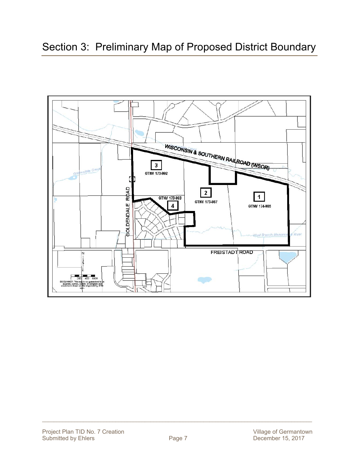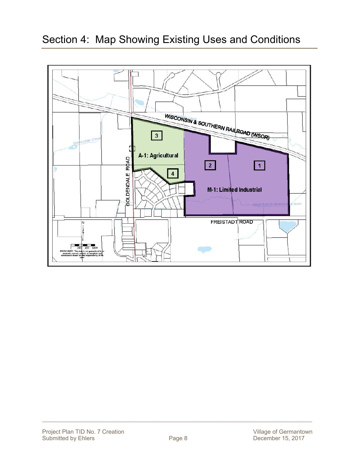

# Section 4: Map Showing Existing Uses and Conditions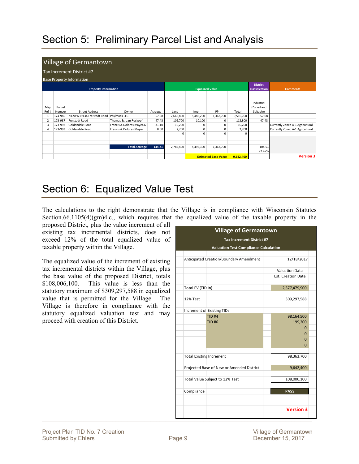# Section 5: Preliminary Parcel List and Analysis

|                |         | <b>Village of Germantown</b>     |                           |         |           |                        |                             |           |                                          |                                  |
|----------------|---------|----------------------------------|---------------------------|---------|-----------|------------------------|-----------------------------|-----------|------------------------------------------|----------------------------------|
|                |         | Tax Increment District #7        |                           |         |           |                        |                             |           |                                          |                                  |
|                |         | <b>Base Property Information</b> |                           |         |           |                        |                             |           |                                          |                                  |
|                |         | <b>Property Information</b>      |                           |         |           | <b>Equalized Value</b> |                             |           | <b>District</b><br><b>Classification</b> | <b>Comments</b>                  |
| Map            | Parcel  |                                  |                           |         |           |                        |                             |           | Industrial<br>(Zoned and                 |                                  |
| Ref #          | Number  | <b>Street Address</b>            | Owner                     | Acreage | Land      | Imp                    | PP                          | Total     | Suitable)                                |                                  |
| 1              | 174-985 | N120 W19434 Freistadt Road       | Phylmack LLC              | 57.08   | 2,666,800 | 5,486,200              | 1,363,700                   | 9,516,700 | 57.08                                    |                                  |
| $\overline{2}$ | 173-987 | Freistadt Road                   | Thomas & Joan Roskopf     | 47.43   | 102,700   | 10,100                 | 0                           | 112,800   | 47.43                                    |                                  |
| 3              | 173-992 | Goldendale Road                  | Francis & Dolores Mayer37 | 31.10   | 10,200    | 0                      | 0                           | 10,200    |                                          | Currently Zoned A-1 Agricultural |
| Δ              | 173-993 | Goldendale Road                  | Francis & Dolores Mayer   | 8.60    | 2,700     | 0                      | 0                           | 2,700     |                                          | Currently Zoned A-1 Agricultural |
|                |         |                                  |                           |         | 0         | 0                      | 0                           | $\Omega$  |                                          |                                  |
|                |         |                                  |                           |         |           |                        |                             |           |                                          |                                  |
|                |         |                                  | <b>Total Acreage</b>      | 144.21  | 2,782,400 | 5,496,300              | 1,363,700                   |           | 104.51                                   |                                  |
|                |         |                                  |                           |         |           |                        |                             |           | 72.47%                                   |                                  |
|                |         |                                  |                           |         |           |                        | <b>Estimated Base Value</b> | 9.642.400 |                                          | <b>Version 3</b>                 |

# Section 6: Equalized Value Test

The calculations to the right demonstrate that the Village is in compliance with Wisconsin Statutes Section.66.1105(4)(gm)4.c., which requires that the equalized value of the taxable property in the

| proposed District, plus the value increment of all<br>existing tax incremental districts, does not<br>exceed 12% of the total equalized value of<br>taxable property within the Village. |                                           | <b>Village of Germantown</b><br>Tax Increment District #7<br><b>Valuation Test Compliance Calculation</b> |                                             |  |
|------------------------------------------------------------------------------------------------------------------------------------------------------------------------------------------|-------------------------------------------|-----------------------------------------------------------------------------------------------------------|---------------------------------------------|--|
|                                                                                                                                                                                          |                                           |                                                                                                           |                                             |  |
| The equalized value of the increment of existing                                                                                                                                         | Anticipated Creation/Boundary Amendment   |                                                                                                           | 12/18/2017                                  |  |
| tax incremental districts within the Village, plus<br>the base value of the proposed District, totals                                                                                    |                                           |                                                                                                           | <b>Valuation Data</b><br>Est. Creation Date |  |
| $$108,006,100$ . This value is less than the<br>statutory maximum of \$309,297,588 in equalized                                                                                          | Total EV (TID In)                         |                                                                                                           | 2,577,479,900                               |  |
| value that is permitted for the Village. The<br>Village is therefore in compliance with the                                                                                              | 12% Test                                  |                                                                                                           | 309,297,588                                 |  |
|                                                                                                                                                                                          | Increment of Existing TIDs                |                                                                                                           |                                             |  |
| statutory equalized valuation test and may                                                                                                                                               | <b>TID#4</b>                              |                                                                                                           | 98,164,500                                  |  |
| proceed with creation of this District.                                                                                                                                                  | <b>TID#6</b>                              |                                                                                                           | 199,200                                     |  |
|                                                                                                                                                                                          |                                           |                                                                                                           |                                             |  |
|                                                                                                                                                                                          |                                           |                                                                                                           |                                             |  |
|                                                                                                                                                                                          |                                           |                                                                                                           |                                             |  |
|                                                                                                                                                                                          |                                           |                                                                                                           | $\Omega$                                    |  |
|                                                                                                                                                                                          |                                           |                                                                                                           |                                             |  |
|                                                                                                                                                                                          | <b>Total Existing Increment</b>           |                                                                                                           | 98,363,700                                  |  |
|                                                                                                                                                                                          | Projected Base of New or Amended District |                                                                                                           | 9,642,400                                   |  |
|                                                                                                                                                                                          | Total Value Subject to 12% Test           |                                                                                                           | 108,006,100                                 |  |
|                                                                                                                                                                                          | Compliance                                |                                                                                                           | <b>PASS</b>                                 |  |
|                                                                                                                                                                                          |                                           |                                                                                                           | <b>Version 3</b>                            |  |
|                                                                                                                                                                                          |                                           |                                                                                                           |                                             |  |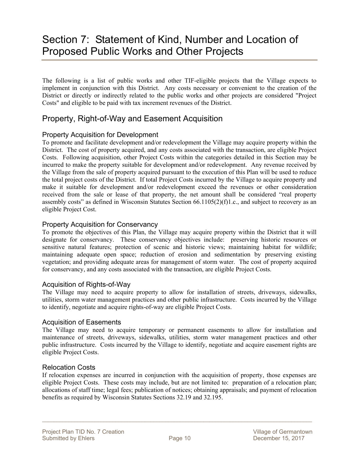# Section 7: Statement of Kind, Number and Location of Proposed Public Works and Other Projects

The following is a list of public works and other TIF-eligible projects that the Village expects to implement in conjunction with this District. Any costs necessary or convenient to the creation of the District or directly or indirectly related to the public works and other projects are considered "Project Costs" and eligible to be paid with tax increment revenues of the District.

### Property, Right-of-Way and Easement Acquisition

#### Property Acquisition for Development

To promote and facilitate development and/or redevelopment the Village may acquire property within the District. The cost of property acquired, and any costs associated with the transaction, are eligible Project Costs. Following acquisition, other Project Costs within the categories detailed in this Section may be incurred to make the property suitable for development and/or redevelopment. Any revenue received by the Village from the sale of property acquired pursuant to the execution of this Plan will be used to reduce the total project costs of the District. If total Project Costs incurred by the Village to acquire property and make it suitable for development and/or redevelopment exceed the revenues or other consideration received from the sale or lease of that property, the net amount shall be considered "real property assembly costs" as defined in Wisconsin Statutes Section  $66.1105(2)(f)1.c.,$  and subject to recovery as an eligible Project Cost.

#### Property Acquisition for Conservancy

To promote the objectives of this Plan, the Village may acquire property within the District that it will designate for conservancy. These conservancy objectives include: preserving historic resources or sensitive natural features; protection of scenic and historic views; maintaining habitat for wildlife; maintaining adequate open space; reduction of erosion and sedimentation by preserving existing vegetation; and providing adequate areas for management of storm water. The cost of property acquired for conservancy, and any costs associated with the transaction, are eligible Project Costs.

#### Acquisition of Rights-of-Way

The Village may need to acquire property to allow for installation of streets, driveways, sidewalks, utilities, storm water management practices and other public infrastructure. Costs incurred by the Village to identify, negotiate and acquire rights-of-way are eligible Project Costs.

#### Acquisition of Easements

The Village may need to acquire temporary or permanent easements to allow for installation and maintenance of streets, driveways, sidewalks, utilities, storm water management practices and other public infrastructure. Costs incurred by the Village to identify, negotiate and acquire easement rights are eligible Project Costs.

#### Relocation Costs

If relocation expenses are incurred in conjunction with the acquisition of property, those expenses are eligible Project Costs. These costs may include, but are not limited to: preparation of a relocation plan; allocations of staff time; legal fees; publication of notices; obtaining appraisals; and payment of relocation benefits as required by Wisconsin Statutes Sections 32.19 and 32.195.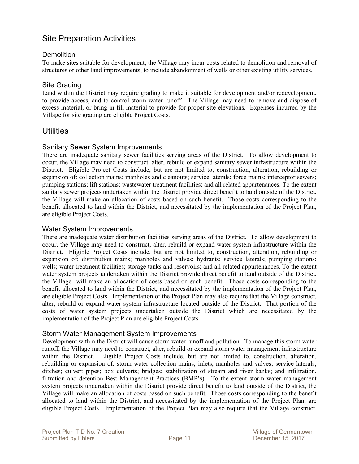### Site Preparation Activities

#### **Demolition**

To make sites suitable for development, the Village may incur costs related to demolition and removal of structures or other land improvements, to include abandonment of wells or other existing utility services.

#### Site Grading

Land within the District may require grading to make it suitable for development and/or redevelopment, to provide access, and to control storm water runoff. The Village may need to remove and dispose of excess material, or bring in fill material to provide for proper site elevations. Expenses incurred by the Village for site grading are eligible Project Costs.

#### **Utilities**

#### Sanitary Sewer System Improvements

There are inadequate sanitary sewer facilities serving areas of the District. To allow development to occur, the Village may need to construct, alter, rebuild or expand sanitary sewer infrastructure within the District. Eligible Project Costs include, but are not limited to, construction, alteration, rebuilding or expansion of: collection mains; manholes and cleanouts; service laterals; force mains; interceptor sewers; pumping stations; lift stations; wastewater treatment facilities; and all related appurtenances. To the extent sanitary sewer projects undertaken within the District provide direct benefit to land outside of the District, the Village will make an allocation of costs based on such benefit. Those costs corresponding to the benefit allocated to land within the District, and necessitated by the implementation of the Project Plan, are eligible Project Costs.

#### Water System Improvements

There are inadequate water distribution facilities serving areas of the District. To allow development to occur, the Village may need to construct, alter, rebuild or expand water system infrastructure within the District. Eligible Project Costs include, but are not limited to, construction, alteration, rebuilding or expansion of: distribution mains; manholes and valves; hydrants; service laterals; pumping stations; wells; water treatment facilities; storage tanks and reservoirs; and all related appurtenances. To the extent water system projects undertaken within the District provide direct benefit to land outside of the District, the Village will make an allocation of costs based on such benefit. Those costs corresponding to the benefit allocated to land within the District, and necessitated by the implementation of the Project Plan, are eligible Project Costs. Implementation of the Project Plan may also require that the Village construct, alter, rebuild or expand water system infrastructure located outside of the District. That portion of the costs of water system projects undertaken outside the District which are necessitated by the implementation of the Project Plan are eligible Project Costs.

#### Storm Water Management System Improvements

Development within the District will cause storm water runoff and pollution. To manage this storm water runoff, the Village may need to construct, alter, rebuild or expand storm water management infrastructure within the District. Eligible Project Costs include, but are not limited to, construction, alteration, rebuilding or expansion of: storm water collection mains; inlets, manholes and valves; service laterals; ditches; culvert pipes; box culverts; bridges; stabilization of stream and river banks; and infiltration, filtration and detention Best Management Practices (BMP's). To the extent storm water management system projects undertaken within the District provide direct benefit to land outside of the District, the Village will make an allocation of costs based on such benefit. Those costs corresponding to the benefit allocated to land within the District, and necessitated by the implementation of the Project Plan, are eligible Project Costs. Implementation of the Project Plan may also require that the Village construct,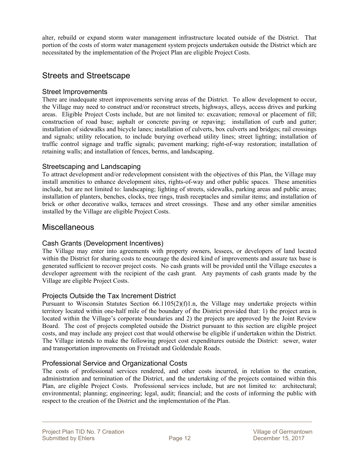alter, rebuild or expand storm water management infrastructure located outside of the District. That portion of the costs of storm water management system projects undertaken outside the District which are necessitated by the implementation of the Project Plan are eligible Project Costs.

### Streets and Streetscape

#### Street Improvements

There are inadequate street improvements serving areas of the District. To allow development to occur, the Village may need to construct and/or reconstruct streets, highways, alleys, access drives and parking areas. Eligible Project Costs include, but are not limited to: excavation; removal or placement of fill; construction of road base; asphalt or concrete paving or repaving; installation of curb and gutter; installation of sidewalks and bicycle lanes; installation of culverts, box culverts and bridges; rail crossings and signals; utility relocation, to include burying overhead utility lines; street lighting; installation of traffic control signage and traffic signals; pavement marking; right-of-way restoration; installation of retaining walls; and installation of fences, berms, and landscaping.

#### Streetscaping and Landscaping

To attract development and/or redevelopment consistent with the objectives of this Plan, the Village may install amenities to enhance development sites, rights-of-way and other public spaces. These amenities include, but are not limited to: landscaping; lighting of streets, sidewalks, parking areas and public areas; installation of planters, benches, clocks, tree rings, trash receptacles and similar items; and installation of brick or other decorative walks, terraces and street crossings. These and any other similar amenities installed by the Village are eligible Project Costs.

#### **Miscellaneous**

#### Cash Grants (Development Incentives)

The Village may enter into agreements with property owners, lessees, or developers of land located within the District for sharing costs to encourage the desired kind of improvements and assure tax base is generated sufficient to recover project costs. No cash grants will be provided until the Village executes a developer agreement with the recipient of the cash grant. Any payments of cash grants made by the Village are eligible Project Costs.

#### Projects Outside the Tax Increment District

Pursuant to Wisconsin Statutes Section 66.1105(2)(f)1.n, the Village may undertake projects within territory located within one-half mile of the boundary of the District provided that: 1) the project area is located within the Village's corporate boundaries and 2) the projects are approved by the Joint Review Board. The cost of projects completed outside the District pursuant to this section are eligible project costs, and may include any project cost that would otherwise be eligible if undertaken within the District. The Village intends to make the following project cost expenditures outside the District: sewer, water and transportation improvements on Freistadt and Goldendale Roads.

#### Professional Service and Organizational Costs

The costs of professional services rendered, and other costs incurred, in relation to the creation, administration and termination of the District, and the undertaking of the projects contained within this Plan, are eligible Project Costs. Professional services include, but are not limited to: architectural; environmental; planning; engineering; legal, audit; financial; and the costs of informing the public with respect to the creation of the District and the implementation of the Plan.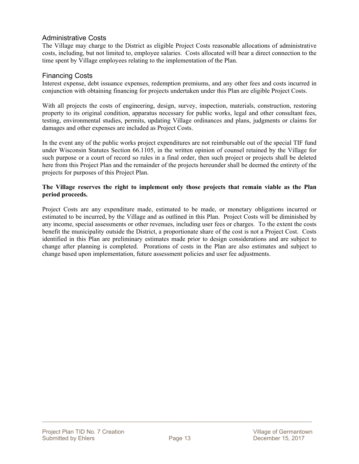#### Administrative Costs

The Village may charge to the District as eligible Project Costs reasonable allocations of administrative costs, including, but not limited to, employee salaries. Costs allocated will bear a direct connection to the time spent by Village employees relating to the implementation of the Plan.

#### Financing Costs

Interest expense, debt issuance expenses, redemption premiums, and any other fees and costs incurred in conjunction with obtaining financing for projects undertaken under this Plan are eligible Project Costs.

With all projects the costs of engineering, design, survey, inspection, materials, construction, restoring property to its original condition, apparatus necessary for public works, legal and other consultant fees, testing, environmental studies, permits, updating Village ordinances and plans, judgments or claims for damages and other expenses are included as Project Costs.

In the event any of the public works project expenditures are not reimbursable out of the special TIF fund under Wisconsin Statutes Section 66.1105, in the written opinion of counsel retained by the Village for such purpose or a court of record so rules in a final order, then such project or projects shall be deleted here from this Project Plan and the remainder of the projects hereunder shall be deemed the entirety of the projects for purposes of this Project Plan.

#### **The Village reserves the right to implement only those projects that remain viable as the Plan period proceeds.**

Project Costs are any expenditure made, estimated to be made, or monetary obligations incurred or estimated to be incurred, by the Village and as outlined in this Plan. Project Costs will be diminished by any income, special assessments or other revenues, including user fees or charges. To the extent the costs benefit the municipality outside the District, a proportionate share of the cost is not a Project Cost. Costs identified in this Plan are preliminary estimates made prior to design considerations and are subject to change after planning is completed. Prorations of costs in the Plan are also estimates and subject to change based upon implementation, future assessment policies and user fee adjustments.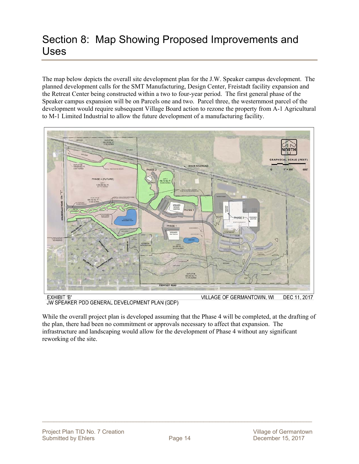# Section 8: Map Showing Proposed Improvements and Uses

The map below depicts the overall site development plan for the J.W. Speaker campus development. The planned development calls for the SMT Manufacturing, Design Center, Freistadt facility expansion and the Retreat Center being constructed within a two to four-year period. The first general phase of the Speaker campus expansion will be on Parcels one and two. Parcel three, the westernmost parcel of the development would require subsequent Village Board action to rezone the property from A-1 Agricultural to M-1 Limited Industrial to allow the future development of a manufacturing facility.



JW SPEAKER PDD GENERAL DEVELOPMENT PLAN (GDP)

While the overall project plan is developed assuming that the Phase 4 will be completed, at the drafting of the plan, there had been no commitment or approvals necessary to affect that expansion. The infrastructure and landscaping would allow for the development of Phase 4 without any significant reworking of the site.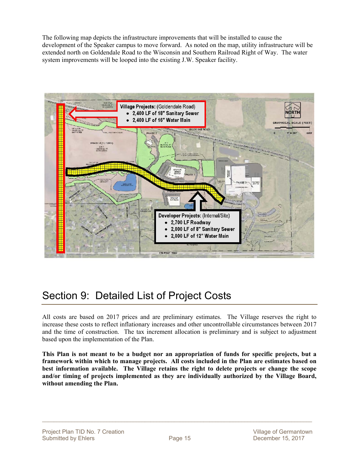The following map depicts the infrastructure improvements that will be installed to cause the development of the Speaker campus to move forward. As noted on the map, utility infrastructure will be extended north on Goldendale Road to the Wisconsin and Southern Railroad Right of Way. The water system improvements will be looped into the existing J.W. Speaker facility.



# Section 9: Detailed List of Project Costs

All costs are based on 2017 prices and are preliminary estimates. The Village reserves the right to increase these costs to reflect inflationary increases and other uncontrollable circumstances between 2017 and the time of construction. The tax increment allocation is preliminary and is subject to adjustment based upon the implementation of the Plan.

**This Plan is not meant to be a budget nor an appropriation of funds for specific projects, but a framework within which to manage projects. All costs included in the Plan are estimates based on best information available. The Village retains the right to delete projects or change the scope and/or timing of projects implemented as they are individually authorized by the Village Board, without amending the Plan.**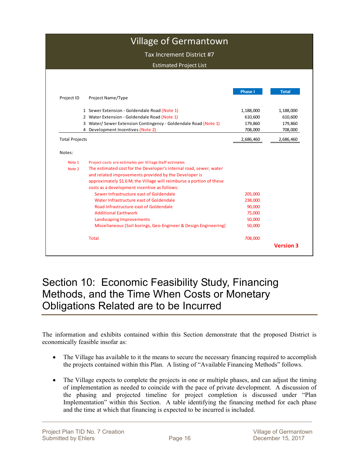|                       | <b>Village of Germantown</b>                                         |                |              |
|-----------------------|----------------------------------------------------------------------|----------------|--------------|
|                       | Tax Increment District #7                                            |                |              |
|                       |                                                                      |                |              |
|                       | <b>Estimated Project List</b>                                        |                |              |
|                       |                                                                      |                |              |
|                       |                                                                      | <b>Phase I</b> | <b>Total</b> |
| Project ID            | Project Name/Type                                                    |                |              |
|                       | 1 Sewer Extension - Goldendale Road (Note 1)                         | 1,188,000      | 1,188,000    |
|                       | 2 Water Extension - Goldendale Road (Note 1)                         | 610,600        | 610,600      |
|                       | 3 Water/Sewer Extension Contingency - Goldendale Road (Note 1)       | 179,860        | 179,860      |
|                       | 4 Development Incentives (Note 2)                                    | 708,000        | 708,000      |
| <b>Total Projects</b> |                                                                      | 2,686,460      | 2,686,460    |
|                       |                                                                      |                |              |
| Notes:                |                                                                      |                |              |
| Note 1                | Project costs are estimates per Village Staff estimates              |                |              |
| Note 2                | The estimated cost for the Developer's internal road, sewer, water   |                |              |
|                       | and related improvements provided by the Developer is                |                |              |
|                       | approximately \$1.6 M; the Village will reimburse a portion of these |                |              |
|                       | costs as a development incentive as follows:                         |                |              |
|                       | Sewer Infrastructure east of Goldendale                              | 205,000        |              |
|                       | Water Infrastructure east of Goldendale                              | 238,000        |              |
|                       | Road Infrastructure east of Goldendale                               | 90,000         |              |
|                       | <b>Additional Earthwork</b>                                          | 75,000         |              |
|                       | Landscaping Improvements                                             | 50,000         |              |
|                       | Miscellaneous (Soil borings, Geo-Engineer & Design Engineering)      | 50,000         |              |
|                       | <b>Total</b>                                                         | 708,000        |              |

## Section 10: Economic Feasibility Study, Financing Methods, and the Time When Costs or Monetary Obligations Related are to be Incurred

The information and exhibits contained within this Section demonstrate that the proposed District is economically feasible insofar as:

- The Village has available to it the means to secure the necessary financing required to accomplish the projects contained within this Plan. A listing of "Available Financing Methods" follows.
- The Village expects to complete the projects in one or multiple phases, and can adjust the timing of implementation as needed to coincide with the pace of private development. A discussion of the phasing and projected timeline for project completion is discussed under "Plan Implementation" within this Section. A table identifying the financing method for each phase and the time at which that financing is expected to be incurred is included.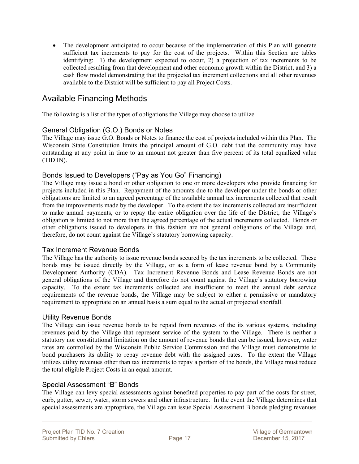• The development anticipated to occur because of the implementation of this Plan will generate sufficient tax increments to pay for the cost of the projects. Within this Section are tables identifying: 1) the development expected to occur, 2) a projection of tax increments to be collected resulting from that development and other economic growth within the District, and 3) a cash flow model demonstrating that the projected tax increment collections and all other revenues available to the District will be sufficient to pay all Project Costs.

### Available Financing Methods

The following is a list of the types of obligations the Village may choose to utilize.

#### General Obligation (G.O.) Bonds or Notes

The Village may issue G.O. Bonds or Notes to finance the cost of projects included within this Plan. The Wisconsin State Constitution limits the principal amount of G.O. debt that the community may have outstanding at any point in time to an amount not greater than five percent of its total equalized value (TID IN).

#### Bonds Issued to Developers ("Pay as You Go" Financing)

The Village may issue a bond or other obligation to one or more developers who provide financing for projects included in this Plan. Repayment of the amounts due to the developer under the bonds or other obligations are limited to an agreed percentage of the available annual tax increments collected that result from the improvements made by the developer. To the extent the tax increments collected are insufficient to make annual payments, or to repay the entire obligation over the life of the District, the Village's obligation is limited to not more than the agreed percentage of the actual increments collected. Bonds or other obligations issued to developers in this fashion are not general obligations of the Village and, therefore, do not count against the Village's statutory borrowing capacity.

#### Tax Increment Revenue Bonds

The Village has the authority to issue revenue bonds secured by the tax increments to be collected. These bonds may be issued directly by the Village, or as a form of lease revenue bond by a Community Development Authority (CDA). Tax Increment Revenue Bonds and Lease Revenue Bonds are not general obligations of the Village and therefore do not count against the Village's statutory borrowing capacity. To the extent tax increments collected are insufficient to meet the annual debt service requirements of the revenue bonds, the Village may be subject to either a permissive or mandatory requirement to appropriate on an annual basis a sum equal to the actual or projected shortfall.

#### Utility Revenue Bonds

The Village can issue revenue bonds to be repaid from revenues of the its various systems, including revenues paid by the Village that represent service of the system to the Village. There is neither a statutory nor constitutional limitation on the amount of revenue bonds that can be issued, however, water rates are controlled by the Wisconsin Public Service Commission and the Village must demonstrate to bond purchasers its ability to repay revenue debt with the assigned rates. To the extent the Village utilizes utility revenues other than tax increments to repay a portion of the bonds, the Village must reduce the total eligible Project Costs in an equal amount.

#### Special Assessment "B" Bonds

The Village can levy special assessments against benefited properties to pay part of the costs for street, curb, gutter, sewer, water, storm sewers and other infrastructure. In the event the Village determines that special assessments are appropriate, the Village can issue Special Assessment B bonds pledging revenues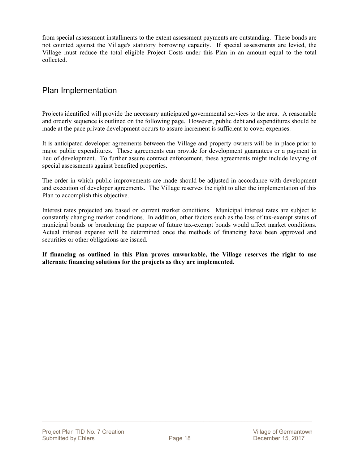from special assessment installments to the extent assessment payments are outstanding. These bonds are not counted against the Village's statutory borrowing capacity. If special assessments are levied, the Village must reduce the total eligible Project Costs under this Plan in an amount equal to the total collected.

### Plan Implementation

Projects identified will provide the necessary anticipated governmental services to the area. A reasonable and orderly sequence is outlined on the following page. However, public debt and expenditures should be made at the pace private development occurs to assure increment is sufficient to cover expenses.

It is anticipated developer agreements between the Village and property owners will be in place prior to major public expenditures. These agreements can provide for development guarantees or a payment in lieu of development. To further assure contract enforcement, these agreements might include levying of special assessments against benefited properties.

The order in which public improvements are made should be adjusted in accordance with development and execution of developer agreements. The Village reserves the right to alter the implementation of this Plan to accomplish this objective.

Interest rates projected are based on current market conditions. Municipal interest rates are subject to constantly changing market conditions. In addition, other factors such as the loss of tax-exempt status of municipal bonds or broadening the purpose of future tax-exempt bonds would affect market conditions. Actual interest expense will be determined once the methods of financing have been approved and securities or other obligations are issued.

**If financing as outlined in this Plan proves unworkable, the Village reserves the right to use alternate financing solutions for the projects as they are implemented.**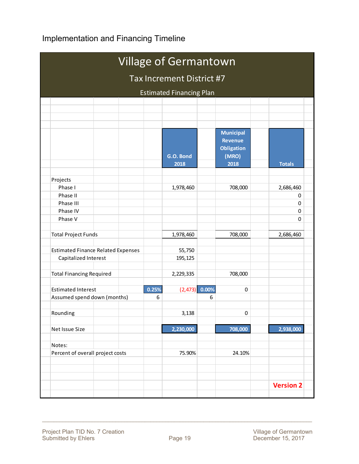### Implementation and Financing Timeline

|                                           |       | Village of Germantown            |       |                                                                          |                  |  |
|-------------------------------------------|-------|----------------------------------|-------|--------------------------------------------------------------------------|------------------|--|
|                                           |       | <b>Tax Increment District #7</b> |       |                                                                          |                  |  |
|                                           |       | <b>Estimated Financing Plan</b>  |       |                                                                          |                  |  |
|                                           |       |                                  |       |                                                                          |                  |  |
|                                           |       |                                  |       |                                                                          |                  |  |
|                                           |       |                                  |       |                                                                          |                  |  |
|                                           |       | G.O. Bond<br>2018                |       | <b>Municipal</b><br><b>Revenue</b><br><b>Obligation</b><br>(MRO)<br>2018 | <b>Totals</b>    |  |
|                                           |       |                                  |       |                                                                          |                  |  |
| Projects                                  |       |                                  |       |                                                                          |                  |  |
| Phase I                                   |       | 1,978,460                        |       | 708,000                                                                  | 2,686,460        |  |
| Phase II                                  |       |                                  |       |                                                                          | 0                |  |
| Phase III                                 |       |                                  |       |                                                                          | 0                |  |
| Phase IV                                  |       |                                  |       |                                                                          | 0                |  |
| Phase V                                   |       |                                  |       |                                                                          | 0                |  |
| <b>Total Project Funds</b>                |       | 1,978,460                        |       | 708,000                                                                  | 2,686,460        |  |
| <b>Estimated Finance Related Expenses</b> |       | 55,750                           |       |                                                                          |                  |  |
| Capitalized Interest                      |       | 195,125                          |       |                                                                          |                  |  |
| <b>Total Financing Required</b>           |       | 2,229,335                        |       | 708,000                                                                  |                  |  |
| <b>Estimated Interest</b>                 | 0.25% | (2, 473)                         | 0.00% | 0                                                                        |                  |  |
| Assumed spend down (months)               | 6     |                                  | 6     |                                                                          |                  |  |
| Rounding                                  |       | 3,138                            |       | 0                                                                        |                  |  |
| Net Issue Size                            |       | 2,230,000                        |       | 708,000                                                                  | 2,938,000        |  |
| Notes:                                    |       |                                  |       |                                                                          |                  |  |
| Percent of overall project costs          |       | 75.90%                           |       | 24.10%                                                                   |                  |  |
|                                           |       |                                  |       |                                                                          | <b>Version 2</b> |  |
|                                           |       |                                  |       |                                                                          |                  |  |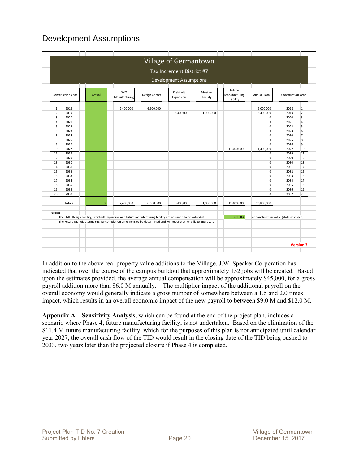### Development Assumptions

|                  |                          |             |                      |                                                                                                                    | Tax Increment District #7      |                     |                                     |                                        |                          |                 |
|------------------|--------------------------|-------------|----------------------|--------------------------------------------------------------------------------------------------------------------|--------------------------------|---------------------|-------------------------------------|----------------------------------------|--------------------------|-----------------|
|                  |                          |             |                      |                                                                                                                    | <b>Development Assumptions</b> |                     |                                     |                                        |                          |                 |
|                  | <b>Construction Year</b> | Actual      | SMT<br>Manufacturing | Design Center                                                                                                      | Freistadt<br>Expansion         | Meeting<br>Facility | Future<br>Manufacturing<br>Facility | <b>Annual Total</b>                    | <b>Construction Year</b> |                 |
| 1                | 2018                     |             | 2,400,000            | 6,600,000                                                                                                          |                                |                     |                                     | 9,000,000                              | 2018                     | $\mathbf{1}$    |
| $\overline{2}$   | 2019                     |             |                      |                                                                                                                    | 5,400,000                      | 1,000,000           |                                     | 6,400,000                              | 2019                     | $\overline{2}$  |
| 3                | 2020                     |             |                      |                                                                                                                    |                                |                     |                                     | $\pmb{0}$                              | 2020                     | 3               |
| $\overline{4}$   | 2021                     |             |                      |                                                                                                                    |                                |                     |                                     | 0                                      | 2021                     | $\overline{4}$  |
| 5 <sup>1</sup>   | 2022                     |             |                      |                                                                                                                    |                                |                     |                                     | 0                                      | 2022                     | 5               |
| $6 \overline{6}$ | 2023                     |             |                      |                                                                                                                    |                                |                     |                                     | $\mathsf 0$                            | 2023                     | $6\overline{6}$ |
| $\overline{7}$   | 2024                     |             |                      |                                                                                                                    |                                |                     |                                     | $\pmb{0}$                              | 2024                     | 7               |
| 8                | 2025                     |             |                      |                                                                                                                    |                                |                     |                                     | 0                                      | 2025                     | $\overline{8}$  |
| 9                | 2026                     |             |                      |                                                                                                                    |                                |                     |                                     | $\mathbf 0$                            | 2026                     | 9               |
| 10               | 2027                     |             |                      |                                                                                                                    |                                |                     | 11,400,000                          | 11,400,000                             | 2027                     | 10              |
| 11               | 2028                     |             |                      |                                                                                                                    |                                |                     |                                     | 0                                      | 2028                     | 11              |
| 12               | 2029                     |             |                      |                                                                                                                    |                                |                     |                                     | 0                                      | 2029                     | 12              |
| 13               | 2030                     |             |                      |                                                                                                                    |                                |                     |                                     | 0                                      | 2030                     | 13              |
| 14               | 2031                     |             |                      |                                                                                                                    |                                |                     |                                     | $\pmb{0}$                              | 2031                     | 14              |
| 15               | 2032                     |             |                      |                                                                                                                    |                                |                     |                                     | $\mathbf 0$                            | 2032                     | 15              |
| 16               | 2033                     |             |                      |                                                                                                                    |                                |                     |                                     | $\mathsf 0$                            | 2033                     | 16              |
| 17               | 2034                     |             |                      |                                                                                                                    |                                |                     |                                     | $\pmb{0}$                              | 2034                     | 17              |
| 18               | 2035                     |             |                      |                                                                                                                    |                                |                     |                                     | $\mathbf 0$                            | 2035                     | 18              |
| 19               | 2036                     |             |                      |                                                                                                                    |                                |                     |                                     | 0                                      | 2036                     | 19              |
| 20               | 2037                     |             |                      |                                                                                                                    |                                |                     |                                     | $\mathbf 0$                            | 2037                     | 20              |
|                  | Totals                   | $\mathbf 0$ | 2,400,000            | 6,600,000                                                                                                          | 5,400,000                      | 1,000,000           | 11,400,000                          | 26,800,000                             |                          |                 |
| Notes:           |                          |             |                      |                                                                                                                    |                                |                     |                                     |                                        |                          |                 |
|                  |                          |             |                      | The SMT, Design Facility, Freistadt Expansion and future manufacturing facility are assumed to be valued at        |                                |                     | 60.00%                              | of construction value (state assessed) |                          |                 |
|                  |                          |             |                      | The Future Manufacturing Facility completion timeline is to be determined and will require other Village approvals |                                |                     |                                     |                                        |                          |                 |
|                  |                          |             |                      |                                                                                                                    |                                |                     |                                     |                                        |                          |                 |
|                  |                          |             |                      |                                                                                                                    |                                |                     |                                     |                                        |                          |                 |

In addition to the above real property value additions to the Village, J.W. Speaker Corporation has indicated that over the course of the campus buildout that approximately 132 jobs will be created. Based upon the estimates provided, the average annual compensation will be approximately \$45,000, for a gross payroll addition more than \$6.0 M annually. The multiplier impact of the additional payroll on the overall economy would generally indicate a gross number of somewhere between a 1.5 and 2.0 times impact, which results in an overall economic impact of the new payroll to between \$9.0 M and \$12.0 M.

**Appendix A – Sensitivity Analysis**, which can be found at the end of the project plan, includes a scenario where Phase 4, future manufacturing facility, is not undertaken. Based on the elimination of the \$11.4 M future manufacturing facility, which for the purposes of this plan is not anticipated until calendar year 2027, the overall cash flow of the TID would result in the closing date of the TID being pushed to 2033, two years later than the projected closure if Phase 4 is completed.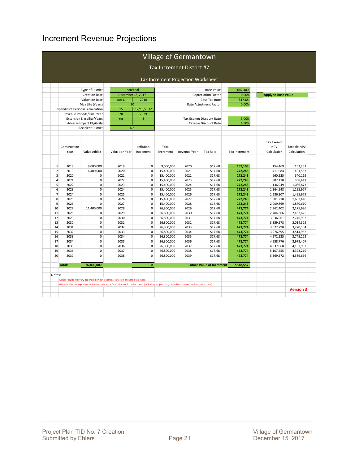### Increment Revenue Projections

|                |               |                                    |                                                                                                                                                |             |            | <b>Village of Germantown</b>       |                                  |                      |                                 |                  |
|----------------|---------------|------------------------------------|------------------------------------------------------------------------------------------------------------------------------------------------|-------------|------------|------------------------------------|----------------------------------|----------------------|---------------------------------|------------------|
|                |               |                                    |                                                                                                                                                |             |            | Tax Increment District #7          |                                  |                      |                                 |                  |
|                |               |                                    |                                                                                                                                                |             |            | Tax Increment Projection Worksheet |                                  |                      |                                 |                  |
|                |               |                                    |                                                                                                                                                |             |            |                                    |                                  |                      |                                 |                  |
|                |               | Type of District                   | Industrial                                                                                                                                     |             |            |                                    | <b>Base Value</b>                | 9,642,400            |                                 |                  |
|                |               | <b>Creation Date</b>               | December 18, 2017                                                                                                                              |             |            |                                    | <b>Appreciation Factor</b>       | 0.00%                | <b>Apply to Base Value</b>      |                  |
|                |               | <b>Valuation Date</b>              | Jan 1                                                                                                                                          | 2018        |            |                                    | <b>Base Tax Rate</b>             | \$17.68              |                                 |                  |
|                |               | Max Life (Years)                   | 20                                                                                                                                             |             |            |                                    | Rate Adjustment Factor           | 0.00%                |                                 |                  |
|                |               | Expenditure Periods/Termination    | 15                                                                                                                                             | 12/18/2032  |            |                                    |                                  |                      |                                 |                  |
|                |               | Revenue Periods/Final Year         | 20                                                                                                                                             | 2039        |            |                                    |                                  |                      |                                 |                  |
|                |               | <b>Extension Eligibility/Years</b> | Yes                                                                                                                                            | 3           |            |                                    | Tax Exempt Discount Rate         | 3.00%                |                                 |                  |
|                |               | <b>Adverse Impact Eligibility</b>  |                                                                                                                                                |             |            |                                    | <b>Taxable Discount Rate</b>     | 4.50%                |                                 |                  |
|                |               | <b>Recipient District</b>          | <b>No</b>                                                                                                                                      |             |            |                                    |                                  |                      |                                 |                  |
|                |               |                                    |                                                                                                                                                |             |            |                                    |                                  |                      |                                 |                  |
|                | Construction  |                                    |                                                                                                                                                | Inflation   | Total      |                                    |                                  |                      | <b>Tax Exempt</b><br><b>NPV</b> | Taxable NPV      |
|                | Year          | Value Added                        | <b>Valuation Year</b>                                                                                                                          | Increment   | Increment  | Revenue Year                       | <b>Tax Rate</b>                  | <b>Tax Increment</b> | Calculation                     | Calculation      |
|                |               |                                    |                                                                                                                                                |             |            |                                    |                                  |                      |                                 |                  |
| $\,1\,$        | 2018          | 9,000,000                          | 2019                                                                                                                                           | $\mathsf 0$ | 9,000,000  | 2020                               | \$17.68                          | 159,103              | 154,469                         | 152,252          |
| $\overline{2}$ | 2019          | 6,400,000                          | 2020                                                                                                                                           | $\mathbf 0$ | 15,400,000 | 2021                               | \$17.68                          | 272,243              | 411,084                         | 401.553          |
| 3              | 2020          | 0                                  | 2021                                                                                                                                           | $\mathbf 0$ | 15,400,000 | 2022                               | \$17.68                          | 272,243              | 660,225                         | 640,119          |
| $\overline{4}$ | 2021          | 0                                  | 2022                                                                                                                                           | $\mathbf 0$ | 15,400,000 | 2023                               | \$17.68                          | 272,243              | 902,110                         | 868,411          |
| 5              | 2022          | 0                                  | 2023                                                                                                                                           | $\mathbf 0$ | 15,400,000 | 2024                               | \$17.68                          | 272,243              | 1,136,949                       | 1,086,873        |
| $\sqrt{6}$     | 2023          | $\mathsf 0$                        | 2024                                                                                                                                           | $\mathsf 0$ | 15,400,000 | 2025                               | \$17.68                          | 272,243              | 1,364,948                       | 1,295,927        |
| $\overline{7}$ | 2024          | 0                                  | 2025                                                                                                                                           | $\Omega$    | 15,400,000 | 2026                               | \$17.68                          | 272,243              | 1,586,307                       | 1,495,979        |
| 8              | 2025          | 0                                  | 2026                                                                                                                                           | $\mathbf 0$ | 15,400,000 | 2027                               | \$17.68                          | 272,243              | 1,801,218                       | 1,687,416        |
| 9              | 2026          | 0                                  | 2027                                                                                                                                           | $\mathbf 0$ | 15,400,000 | 2028                               | \$17.68                          | 272,243              | 2,009,869                       | 1,870,610        |
| 10             | 2027          | 11,400,000                         | 2028                                                                                                                                           | $\pmb{0}$   | 26,800,000 | 2029                               | \$17.68                          | 473,774              | 2,362,402                       | 2,175,686        |
| 11             | 2028          | 0                                  | 2029                                                                                                                                           | $\mathbf 0$ | 26,800,000 | 2030                               | \$17.68                          | 473,774              | 2,704,666                       | 2,467,625        |
| 12             | 2029          | 0                                  | 2030                                                                                                                                           | $\mathbf 0$ | 26,800,000 | 2031                               | \$17.68                          | 473,774              | 3,036,961                       | 2,746,992        |
| 13             | 2030          | 0                                  | 2031                                                                                                                                           | $\mathbf 0$ | 26,800,000 | 2032                               | \$17.68                          | 473,774              | 3,359,578                       | 3,014,329        |
| 14             | 2031          | 0                                  | 2032                                                                                                                                           | $\mathbf 0$ | 26,800,000 | 2033                               | \$17.68                          | 473,774              | 3,672,798                       | 3,270,154        |
| 15             | 2032          | 0                                  | 2033                                                                                                                                           | $\mathsf 0$ | 26,800,000 | 2034                               | \$17.68                          | 473,774              | 3,976,895                       | 3,514,962        |
| 16             | 2033          | 0                                  | 2034                                                                                                                                           | $\mathbf 0$ | 26,800,000 | 2035                               | \$17.68                          | 473,774              | 4,272,135                       | 3,749,229        |
| 17             | 2034          | 0                                  | 2035                                                                                                                                           | $\mathbf 0$ | 26,800,000 | 2036                               | \$17.68                          | 473,774              | 4,558,776                       | 3,973,407        |
| 18             | 2035          | 0                                  | 2036                                                                                                                                           | $\mathbf 0$ | 26,800,000 | 2037                               | \$17.68                          | 473,774              | 4,837,068                       | 4,187,932        |
| 19             | 2036          | 0                                  | 2037                                                                                                                                           | $\mathbf 0$ | 26,800,000 | 2038                               | \$17.68                          | 473,774              | 5,107,255                       | 4,393,219        |
| 20             | 2037          | 0                                  | 2038                                                                                                                                           | $\mathbf 0$ | 26,800,000 | 2039                               | \$17.68                          | 473,774              | 5,369,572                       | 4,589,666        |
|                | <b>Totals</b> | 26,800,000                         |                                                                                                                                                | $\bf{0}$    |            |                                    | <b>Future Value of Increment</b> | 7,548,557            |                                 |                  |
| Notes:         |               |                                    |                                                                                                                                                |             |            |                                    |                                  |                      |                                 |                  |
|                |               |                                    |                                                                                                                                                |             |            |                                    |                                  |                      |                                 |                  |
|                |               |                                    | Actual results will vary depending on development, inflation of overall tax rates.                                                             |             |            |                                    |                                  |                      |                                 |                  |
|                |               |                                    | NPV calculations represent estimated amount of funds that could be borrowed (including project cost, capitalized interest and issuance costs). |             |            |                                    |                                  |                      |                                 |                  |
|                |               |                                    |                                                                                                                                                |             |            |                                    |                                  |                      |                                 | <b>Version 3</b> |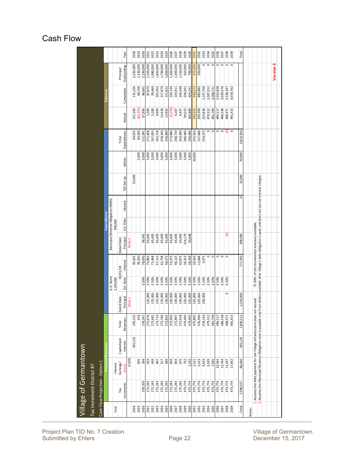### Cash Flow

|                         | village of Germantown<br>Tax Increment District #7 |                                                                                                                                                                    |                    |                    |                        |                  |                                              |              |          |            |                |                    |                    |                    |                        |              |
|-------------------------|----------------------------------------------------|--------------------------------------------------------------------------------------------------------------------------------------------------------------------|--------------------|--------------------|------------------------|------------------|----------------------------------------------|--------------|----------|------------|----------------|--------------------|--------------------|--------------------|------------------------|--------------|
|                         | Cash Flow Projection - Option 1                    |                                                                                                                                                                    |                    |                    |                        |                  |                                              |              |          |            |                |                    |                    |                    |                        |              |
|                         |                                                    | Revenues                                                                                                                                                           |                    |                    |                        |                  |                                              | Expenditures |          |            |                |                    |                    | <b>Balances</b>    |                        |              |
| Year                    | Interest                                           |                                                                                                                                                                    |                    |                    | G.O. Bond<br>2,230,000 |                  | Municipal Revenue Obligation (MRO)           | 708,000      |          |            |                |                    |                    |                    |                        |              |
| Tax                     | Earnings/                                          | Capitalized                                                                                                                                                        | Total              | ed Date<br>ā       |                        | 03/01/18         | Dated Date                                   |              |          |            |                | Total              |                    |                    | Principal              |              |
| Increments              | Cost                                               | Interest<br>0.50%                                                                                                                                                  | Revenues           | Principa<br>Note 1 | Est. Rate              | Interest         | Principal<br>Note 2                          | Est. Rate    | Interest | TID Set Up | Admin.         | Expenditures       | Annual             | Cumulative         | Outstanding            | Year         |
| 2018                    |                                                    | 195,125                                                                                                                                                            | 195,125            |                    |                        | 39,025           |                                              |              |          | 25,000     |                | 64,025             | 131,100            | 131,100            | 2,230,000              | 2018         |
| 2019                    |                                                    | 656                                                                                                                                                                | 656                |                    |                        | 78,050           |                                              |              |          |            | 5,000          | 83,050             | (82,395)           | 48,706             | 2,230,000              | 2019         |
| 2020                    | 159,103                                            | 244                                                                                                                                                                | 159,347            |                    | 3.50%                  | 78,050           | 38,341                                       |              |          |            | 5,000          | 121,391            | 37,956             | 86,661             | 2,230,000              | 2020         |
| 2021                    | 272,243                                            | 433                                                                                                                                                                | 272,676            | 125,000            | 3.50%                  | 75,863           | 65,605                                       |              |          |            | 5,000          | 271,468            | 1,209              | 87,870             | 2,105,000              | 2021         |
| 2023<br>2022            | 272,243<br>272,243                                 | 439                                                                                                                                                                | 272,710<br>272,682 | 125,000<br>125,000 | 3.50%<br>3.50%         | 71,488<br>67,113 | 65,605<br>65,605                             |              |          |            | 5,000<br>5,000 | 267,093<br>262,718 | 5,590<br>9,993     | 93,460<br>103,452  | 1,980,000<br>1,855,000 | 2023<br>2022 |
| 2024                    | 272,243                                            | 467<br>517                                                                                                                                                         | 272,760            | 125,000            | 3.50%                  | 62,738           | 65,605                                       |              |          |            | 5,000          | 258,343            | 14,418             | 117,870            | 1,730,000              | 2024         |
| 2025                    | 272,243                                            | 589                                                                                                                                                                | 272,832            | 130,000            | 3.50%                  | 58,275           | 65,605                                       |              |          |            | 5,000          | 258,880            | 13,952             | 131,822            | 1,600,000              | 2025         |
| 2026                    | 272,243                                            | 659                                                                                                                                                                | 272,902            | 150,000            | 3.50%                  | 53,375           | 65,605                                       |              |          |            | 5,000          | 273,980            | (1,078)            | 130,744            | 1,450,000              | 2026         |
| 2027                    | 272,243                                            | 654                                                                                                                                                                | 272,897            | 150,000            | 3.50%                  | 48,125           | 65,605                                       |              |          |            | 5,000          | 268,730            | 4,167              | 134,911            | 1,300,000              | 2027         |
| 2028                    | 272,243                                            | 675                                                                                                                                                                | 272,918            | 150,000            | 3.50%                  | 42,875           | 65,605                                       |              |          |            | 5,000          | 263,480            | 9,437              | 144,348            | 1,150,000              | 2028         |
| 2029                    | 473,774                                            | 722                                                                                                                                                                | 474,495            | 225,000            | 3.50%                  | 36,313           | 114,170                                      |              |          |            | 5,000          | 380,483            | 94,013             | 238,361            | 925,000                | 2029         |
| 2030                    | 473,774                                            | 1.192                                                                                                                                                              | 474.965            | 225,000            | 3.50%                  | 28,438           | 30,648                                       |              |          |            | 5.000          | 289,086            | 185,880            | 424,241            | 700,000                | 2030         |
| 2032<br>2031            | 473,774<br>473,774                                 | 3,223<br>2,121                                                                                                                                                     | 476,996<br>475,895 | 225,000<br>225,000 | 3.50%<br>3.50%         | 12,688<br>20,563 |                                              |              |          |            | 10,000         | 255,563<br>237,688 | 239,309<br>220,332 | 883,882<br>644,573 | 250,000<br>475,000     | 2032<br>2031 |
| 2033                    | 473,774                                            | 4,419                                                                                                                                                              | 478,193            | 250,000            | 3.50%                  | 4,375            |                                              |              |          |            |                | 254,375            | 223,818            | 1,107,700          | $\circ$                | 2033         |
| 2034                    | 473,774                                            | 5,539                                                                                                                                                              | 479,312            |                    | 3.50%                  | $\circ$          |                                              |              |          |            |                | $\circ$            | 479,312            | 1,587,012          |                        | 2034         |
| 2035                    | 473,774                                            | 7,935                                                                                                                                                              | 481,709            |                    | 3.50%                  | $\circ$          |                                              |              |          |            |                | $\circ$            | 481,709            | 2,068,721          | $\circ \circ$          | 2035         |
| 2036                    | 473,774                                            | 10,344                                                                                                                                                             | 484,117            |                    | 3.50%                  | $\circ$          |                                              |              |          |            |                |                    | 484,117            | 2,552,838          | $\circ$                | 2036         |
| 2037                    | 473,774                                            | 12,764                                                                                                                                                             | 486,538            |                    | 3.50%                  | $\circ$          |                                              |              |          |            |                | $\circ$ $\circ$    | 486,538            | 3,039,376          | $\circ \circ \circ$    | 2037         |
| 2038                    | 473,774                                            | 15,197                                                                                                                                                             | 488,971            | $\circ$            | 3.50%                  | $\circ$          | ව                                            |              |          |            |                |                    | 488,971            | 3,528,347          |                        | 2038         |
| 2039                    | 473,774                                            | 17,642                                                                                                                                                             | 491,415            |                    |                        |                  |                                              |              |          |            |                |                    | 491,415            | 4,019,762          |                        | 2039         |
| Total                   | 7,548,557                                          | 195,125<br>86,430                                                                                                                                                  | 7,830,112          | 2,230,000          |                        | 777,350          | 708,000                                      |              | $\circ$  | 25,000     | 70,000         | 3,810,350          |                    |                    |                        | Total        |
|                         |                                                    |                                                                                                                                                                    |                    |                    |                        |                  |                                              |              |          |            |                |                    |                    |                    |                        |              |
| Notes:                  |                                                    |                                                                                                                                                                    |                    |                    |                        |                  |                                              |              |          |            |                |                    |                    |                    |                        |              |
| ÷                       |                                                    | Assumes the debt payment for the Village infrastructure does not                                                                                                   |                    | exceed             |                        |                  | 75.90% of the incremental revenues available |              |          |            |                |                    |                    |                    |                        |              |
| $\overline{\mathbf{v}}$ |                                                    | Assumes the Municipal Revenue Obligation note is payable only from dollars available after Village's debt obligation is paid, and does not accrue interest charges |                    |                    |                        |                  |                                              |              |          |            |                |                    |                    |                    |                        |              |
|                         |                                                    |                                                                                                                                                                    |                    |                    |                        |                  |                                              |              |          |            |                |                    |                    |                    |                        |              |
|                         |                                                    |                                                                                                                                                                    |                    |                    |                        |                  |                                              |              |          |            |                |                    |                    |                    | <b>Version 3</b>       |              |
|                         |                                                    |                                                                                                                                                                    |                    |                    |                        |                  |                                              |              |          |            |                |                    |                    |                    |                        |              |

Project Plan TID No. 7 Creation Village of Germantown Village of Germantown Submitted by Ehlers Page 22 December 15, 2017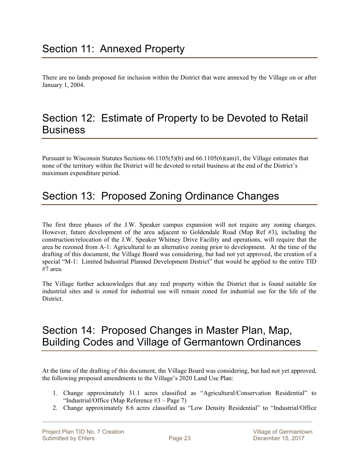There are no lands proposed for inclusion within the District that were annexed by the Village on or after January 1, 2004.

### Section 12: Estimate of Property to be Devoted to Retail **Business**

Pursuant to Wisconsin Statutes Sections 66.1105(5)(b) and 66.1105(6)(am)1, the Village estimates that none of the territory within the District will be devoted to retail business at the end of the District's maximum expenditure period.

# Section 13: Proposed Zoning Ordinance Changes

The first three phases of the J.W. Speaker campus expansion will not require any zoning changes. However, future development of the area adjacent to Goldendale Road (Map Ref #3), including the construction/relocation of the J.W. Speaker Whitney Drive Facility and operations, will require that the area be rezoned from A-1: Agricultural to an alternative zoning prior to development. At the time of the drafting of this document, the Village Board was considering, but had not yet approved, the creation of a special "M-1: Limited Industrial Planned Development District" that would be applied to the entire TID #7 area.

The Village further acknowledges that any real property within the District that is found suitable for industrial sites and is zoned for industrial use will remain zoned for industrial use for the life of the District.

### Section 14: Proposed Changes in Master Plan, Map, Building Codes and Village of Germantown Ordinances

At the time of the drafting of this document, the Village Board was considering, but had not yet approved, the following proposed amendments to the Village's 2020 Land Use Plan:

- 1. Change approximately 31.1 acres classified as "Agricultural/Conservation Residential" to "Industrial/Office (Map Reference  $#3 - Page 7$ )
- 2. Change approximately 8.6 acres classified as "Low Density Residential" to "Industrial/Office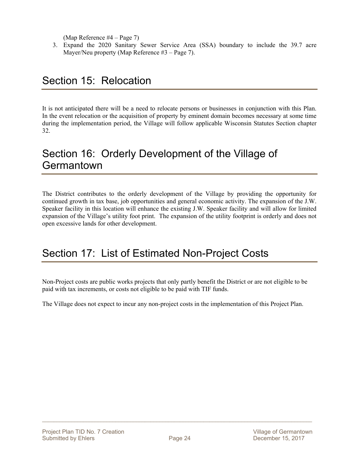(Map Reference #4 – Page 7)

3. Expand the 2020 Sanitary Sewer Service Area (SSA) boundary to include the 39.7 acre Mayer/Neu property (Map Reference #3 – Page 7).

# Section 15: Relocation

It is not anticipated there will be a need to relocate persons or businesses in conjunction with this Plan. In the event relocation or the acquisition of property by eminent domain becomes necessary at some time during the implementation period, the Village will follow applicable Wisconsin Statutes Section chapter 32.

### Section 16: Orderly Development of the Village of **Germantown**

The District contributes to the orderly development of the Village by providing the opportunity for continued growth in tax base, job opportunities and general economic activity. The expansion of the J.W. Speaker facility in this location will enhance the existing J.W. Speaker facility and will allow for limited expansion of the Village's utility foot print. The expansion of the utility footprint is orderly and does not open excessive lands for other development.

### Section 17: List of Estimated Non-Project Costs

Non-Project costs are public works projects that only partly benefit the District or are not eligible to be paid with tax increments, or costs not eligible to be paid with TIF funds.

The Village does not expect to incur any non-project costs in the implementation of this Project Plan.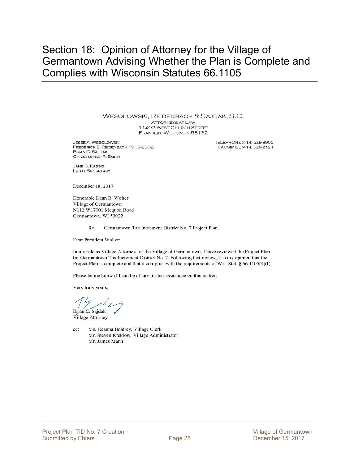### Section 18: Opinion of Attorney for the Village of Germantown Advising Whether the Plan is Complete and Complies with Wisconsin Statutes 66.1105

WESOLOWSKI, REIDENBACH & SAJDAK, S.C.

**ATTORNEYS AT LAW** 11402 WEST CHURCH STREET FRANKLIN, WISCONSIN 53132

**JESSE A. WESOLOWSKI** FREDERICK E. REIDENBACH 1919-2002 **BRIAN C. SAJDAK** CHRISTOPHER R. SMITH

TELEPHONE (414) 529-8900 FACSIMILE (414) 529-2121

JANE C. KASSIS. **LEGAL SECRETARY** 

December 18, 2017

Honorable Dean R. Wolter Village of Germantown N112 W17001 Mequon Road Germantown, WI 53022

> Re: Germantown Tax Increment District No. 7 Project Plan

Dear President Wolter:

In my role as Village Attorney for the Village of Germantown, I have reviewed the Project Plan for Germantown Tax Increment District No. 7. Following that review, it is my opinion that the Project Plan is complete and that it complies with the requirements of Wis. Stat.  $§$  66.1105(4)(f).

Please let me know if I can be of any further assistance on this matter.

Very truly yours,

ján C. Sajdak

Village Attorney

cc: Ms. Deanna Boldrey, Village Clerk Mr. Steven Kreklow, Village Administrator Mr. James Mann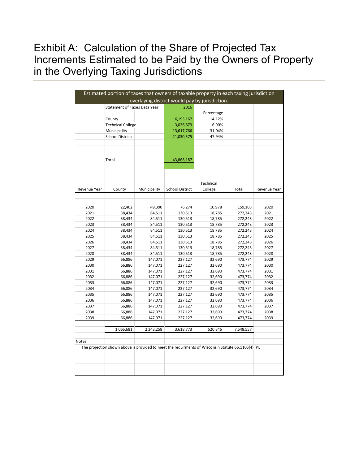# Exhibit A: Calculation of the Share of Projected Tax Increments Estimated to be Paid by the Owners of Property in the Overlying Taxing Jurisdictions

|              | Estimated portion of taxes that owners of taxable property in each taxing jurisdiction              |              |                        |                                                |           |              |
|--------------|-----------------------------------------------------------------------------------------------------|--------------|------------------------|------------------------------------------------|-----------|--------------|
|              |                                                                                                     |              |                        | overlaying district would pay by jurisdiction. |           |              |
|              | Statement of Taxes Data Year:                                                                       |              | 2016                   |                                                |           |              |
|              |                                                                                                     |              |                        | Percentage                                     |           |              |
|              | County                                                                                              |              | 6,193,167              | 14.12%                                         |           |              |
|              | <b>Technical College</b>                                                                            |              | 3,026,879              | 6.90%                                          |           |              |
|              | Municipality                                                                                        |              | 13,617,766             | 31.04%                                         |           |              |
|              | School District:                                                                                    |              | 21,030,375             | 47.94%                                         |           |              |
|              |                                                                                                     |              |                        |                                                |           |              |
|              |                                                                                                     |              |                        |                                                |           |              |
|              |                                                                                                     |              |                        |                                                |           |              |
|              | Total                                                                                               |              | 43,868,187             |                                                |           |              |
|              |                                                                                                     |              |                        |                                                |           |              |
|              |                                                                                                     |              |                        |                                                |           |              |
|              |                                                                                                     |              |                        |                                                |           |              |
|              |                                                                                                     |              |                        | Technical                                      |           |              |
| Revenue Year | County                                                                                              | Municipality | <b>School District</b> | College                                        | Total     | Revenue Year |
|              |                                                                                                     |              |                        |                                                |           |              |
|              |                                                                                                     |              |                        |                                                |           |              |
| 2020         | 22,462                                                                                              | 49,390       | 76,274                 | 10,978                                         | 159,103   | 2020         |
| 2021         | 38,434                                                                                              | 84,511       | 130,513                | 18,785                                         | 272,243   | 2021         |
| 2022         | 38,434                                                                                              | 84,511       | 130,513                | 18,785                                         | 272,243   | 2022         |
| 2023         | 38,434                                                                                              | 84,511       | 130,513                | 18,785                                         | 272,243   | 2023         |
| 2024         | 38,434                                                                                              | 84,511       | 130,513                | 18,785                                         | 272,243   | 2024         |
| 2025         | 38,434                                                                                              | 84,511       | 130,513                | 18,785                                         | 272,243   | 2025         |
| 2026         | 38,434                                                                                              | 84,511       | 130,513                | 18,785                                         | 272,243   | 2026         |
| 2027         | 38,434                                                                                              | 84,511       | 130,513                | 18,785                                         | 272,243   | 2027         |
| 2028         | 38,434                                                                                              | 84,511       | 130,513                | 18,785                                         | 272,243   | 2028         |
| 2029         | 66,886                                                                                              | 147,071      | 227,127                | 32,690                                         | 473,774   | 2029         |
| 2030         | 66,886                                                                                              | 147,071      | 227,127                | 32,690                                         | 473,774   | 2030         |
| 2031         | 66,886                                                                                              | 147,071      | 227,127                | 32,690                                         | 473,774   | 2031         |
| 2032         | 66,886                                                                                              | 147,071      | 227,127                | 32,690                                         | 473,774   | 2032         |
| 2033         | 66,886                                                                                              | 147,071      | 227,127                | 32,690                                         | 473,774   | 2033         |
| 2034         | 66,886                                                                                              | 147,071      | 227,127                | 32,690                                         | 473,774   | 2034         |
| 2035         | 66,886                                                                                              | 147,071      | 227,127                | 32,690                                         | 473,774   | 2035         |
| 2036         | 66,886                                                                                              | 147,071      | 227,127                | 32,690                                         | 473,774   | 2036         |
| 2037         | 66,886                                                                                              | 147,071      | 227,127                | 32,690                                         | 473,774   | 2037         |
| 2038         | 66,886                                                                                              | 147,071      | 227,127                | 32,690                                         | 473,774   | 2038         |
| 2039         | 66,886                                                                                              | 147,071      | 227,127                | 32,690                                         | 473,774   | 2039         |
|              |                                                                                                     |              |                        |                                                |           |              |
|              | 1,065,681                                                                                           | 2,343,258    | 3,618,773              | 520,846                                        | 7,548,557 |              |
|              |                                                                                                     |              |                        |                                                |           |              |
| Notes:       |                                                                                                     |              |                        |                                                |           |              |
|              | The projection shown above is provided to meet the requirments of Wisconsin Statute 66.1105(4)(i)4. |              |                        |                                                |           |              |
|              |                                                                                                     |              |                        |                                                |           |              |
|              |                                                                                                     |              |                        |                                                |           |              |
|              |                                                                                                     |              |                        |                                                |           |              |
|              |                                                                                                     |              |                        |                                                |           |              |
|              |                                                                                                     |              |                        |                                                |           |              |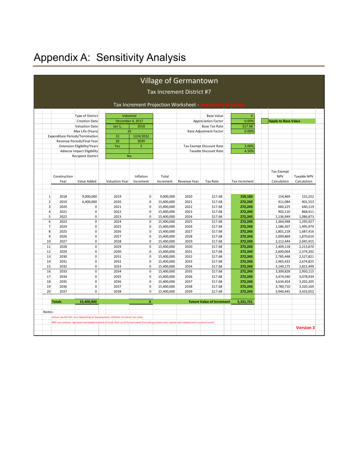# Appendix A: Sensitivity Analysis

|                |               |                                                                |                                                                                    |                                      |                          | Village of Germantown                                                                                                                          |                                                          |                      |                            |                        |
|----------------|---------------|----------------------------------------------------------------|------------------------------------------------------------------------------------|--------------------------------------|--------------------------|------------------------------------------------------------------------------------------------------------------------------------------------|----------------------------------------------------------|----------------------|----------------------------|------------------------|
|                |               |                                                                |                                                                                    |                                      |                          | Tax Increment District #7                                                                                                                      |                                                          |                      |                            |                        |
|                |               |                                                                |                                                                                    |                                      |                          |                                                                                                                                                |                                                          |                      |                            |                        |
|                |               |                                                                |                                                                                    | Tax Increment Projection Worksheet - |                          |                                                                                                                                                |                                                          | <b>vity Analysis</b> |                            |                        |
|                |               |                                                                |                                                                                    |                                      |                          |                                                                                                                                                |                                                          |                      |                            |                        |
|                |               | Type of District                                               | Industrial                                                                         |                                      |                          |                                                                                                                                                | <b>Base Value</b>                                        | $\overline{0}$       |                            |                        |
|                |               | <b>Creation Date</b>                                           | December 4, 2017                                                                   |                                      |                          |                                                                                                                                                | <b>Appreciation Factor</b>                               | 0.00%                | <b>Apply to Base Value</b> |                        |
|                |               | Valuation Date                                                 | Jan 1                                                                              | 2018                                 |                          |                                                                                                                                                | <b>Base Tax Rate</b>                                     | \$17.68              |                            |                        |
|                |               | Max Life (Years)                                               | 20                                                                                 |                                      |                          |                                                                                                                                                | Rate Adjustment Factor                                   | 0.00%                |                            |                        |
|                |               | Expenditure Periods/Termination                                | 15                                                                                 | 12/4/2032                            |                          |                                                                                                                                                |                                                          |                      |                            |                        |
|                |               | Revenue Periods/Final Year                                     | 20                                                                                 | 2039                                 |                          |                                                                                                                                                |                                                          |                      |                            |                        |
|                |               | <b>Extension Eligibility/Years</b>                             | Yes                                                                                | 3                                    |                          |                                                                                                                                                | Tax Exempt Discount Rate<br><b>Taxable Discount Rate</b> | 3.00%<br>4.50%       |                            |                        |
|                |               | <b>Adverse Impact Eligibility</b><br><b>Recipient District</b> | <b>No</b>                                                                          |                                      |                          |                                                                                                                                                |                                                          |                      |                            |                        |
|                |               |                                                                |                                                                                    |                                      |                          |                                                                                                                                                |                                                          |                      |                            |                        |
|                |               |                                                                |                                                                                    |                                      |                          |                                                                                                                                                |                                                          |                      |                            |                        |
|                |               |                                                                |                                                                                    |                                      |                          |                                                                                                                                                |                                                          |                      | <b>Tax Exempt</b>          |                        |
|                | Construction  |                                                                |                                                                                    | Inflation                            | Total                    |                                                                                                                                                |                                                          |                      | <b>NPV</b>                 | Taxable NPV            |
|                | Year          | Value Added                                                    | <b>Valuation Year</b>                                                              | Increment                            | Increment                | Revenue Year                                                                                                                                   | <b>Tax Rate</b>                                          | Tax Increment        | Calculation                | Calculation            |
|                |               |                                                                |                                                                                    |                                      |                          |                                                                                                                                                |                                                          |                      |                            |                        |
| $\mathbf{1}$   | 2018          | 9,000,000                                                      | 2019                                                                               | $\mathbf 0$                          | 9,000,000                | 2020                                                                                                                                           | \$17.68                                                  | 159,103              | 154,469                    | 152,252                |
| $\overline{2}$ | 2019          | 6,400,000                                                      | 2020                                                                               | $\pmb{0}$                            | 15,400,000               | 2021                                                                                                                                           | \$17.68                                                  | 272,243              | 411,084                    | 401,553                |
| 3              | 2020          | 0                                                              | 2021                                                                               | 0                                    | 15,400,000               | 2022                                                                                                                                           | \$17.68                                                  | 272,243              | 660,225                    | 640,119                |
| 4              | 2021          | $\pmb{0}$                                                      | 2022                                                                               | $\pmb{0}$                            | 15,400,000               | 2023                                                                                                                                           | \$17.68                                                  | 272,243              | 902,110                    | 868,411                |
| 5              | 2022          | 0                                                              | 2023                                                                               | 0                                    | 15,400,000               | 2024                                                                                                                                           | \$17.68                                                  | 272,243              | 1,136,949                  | 1,086,873              |
| 6              | 2023          | 0                                                              | 2024                                                                               | $\mathbf 0$                          | 15,400,000               | 2025                                                                                                                                           | \$17.68                                                  | 272,243              | 1,364,948                  | 1,295,927              |
| 7              | 2024          | 0                                                              | 2025                                                                               | 0                                    | 15,400,000               | 2026                                                                                                                                           | \$17.68                                                  | 272,243              | 1,586,307                  | 1,495,979              |
| 8              | 2025          | 0                                                              | 2026                                                                               | $\mathbf 0$                          | 15,400,000               | 2027                                                                                                                                           | \$17.68                                                  | 272,243              | 1,801,218                  | 1,687,416              |
| 9              | 2026          | 0                                                              | 2027                                                                               | $\mathbf 0$                          | 15,400,000               | 2028                                                                                                                                           | \$17.68                                                  | 272,243              | 2,009,869                  | 1,870,610              |
| 10             | 2027          | 0                                                              | 2028                                                                               | $\mathbf 0$                          | 15,400,000               | 2029                                                                                                                                           | \$17.68                                                  | 272,243              | 2,212,444                  | 2,045,915              |
| 11             | 2028          | $\mathbf 0$                                                    | 2029                                                                               | $\mathbf 0$                          | 15,400,000               | 2030                                                                                                                                           | \$17.68                                                  | 272,243              | 2,409,118                  | 2,213,670              |
| 12<br>13       | 2029<br>2030  | $\mathbf 0$<br>$\mathbf 0$                                     | 2030<br>2031                                                                       | $\mathbf 0$<br>$\mathbf 0$           | 15,400,000<br>15,400,000 | 2031<br>2032                                                                                                                                   | \$17.68<br>\$17.68                                       | 272,243<br>272,243   | 2,600,064                  | 2,374,202              |
| 14             | 2031          | $\mathbf{0}$                                                   | 2032                                                                               | $\mathbf 0$                          | 15,400,000               | 2033                                                                                                                                           | \$17.68                                                  | 272,243              | 2,785,448<br>2,965,433     | 2,527,821<br>2,674,825 |
| 15             | 2032          | 0                                                              | 2033                                                                               | $\mathbf 0$                          | 15,400,000               | 2034                                                                                                                                           | \$17.68                                                  | 272,243              | 3,140,175                  | 2,815,499              |
| 16             | 2033          | $\pmb{0}$                                                      | 2034                                                                               | 0                                    | 15,400,000               | 2035                                                                                                                                           | \$17.68                                                  | 272,243              | 3,309,828                  | 2,950,115              |
| 17             | 2034          | $\pmb{0}$                                                      | 2035                                                                               | $\pmb{0}$                            | 15,400,000               | 2036                                                                                                                                           | \$17.68                                                  | 272,243              | 3,474,540                  | 3,078,934              |
| 18             | 2035          | 0                                                              | 2036                                                                               | $\mathbf 0$                          | 15,400,000               | 2037                                                                                                                                           | \$17.68                                                  | 272,243              | 3,634,454                  | 3,202,205              |
| 19             | 2036          | 0                                                              | 2037                                                                               | $\pmb{0}$                            | 15,400,000               | 2038                                                                                                                                           | \$17.68                                                  | 272,243              | 3,789,710                  | 3,320,169              |
| 20             | 2037          | 0                                                              | 2038                                                                               | 0                                    | 15,400,000               | 2039                                                                                                                                           | \$17.68                                                  | 272,243              | 3,940,445                  | 3,433,052              |
|                |               |                                                                |                                                                                    |                                      |                          |                                                                                                                                                |                                                          |                      |                            |                        |
|                | <b>Totals</b> | 15,400,000                                                     |                                                                                    | $\mathbf{0}$                         |                          |                                                                                                                                                | <b>Future Value of Increment</b>                         | 5,331,721            |                            |                        |
| Notes:         |               |                                                                |                                                                                    |                                      |                          |                                                                                                                                                |                                                          |                      |                            |                        |
|                |               |                                                                | Actual results will vary depending on development, inflation of overall tax rates. |                                      |                          |                                                                                                                                                |                                                          |                      |                            |                        |
|                |               |                                                                |                                                                                    |                                      |                          | NPV calculations represent estimated amount of funds that could be borrowed (including project cost, capitalized interest and issuance costs). |                                                          |                      |                            |                        |